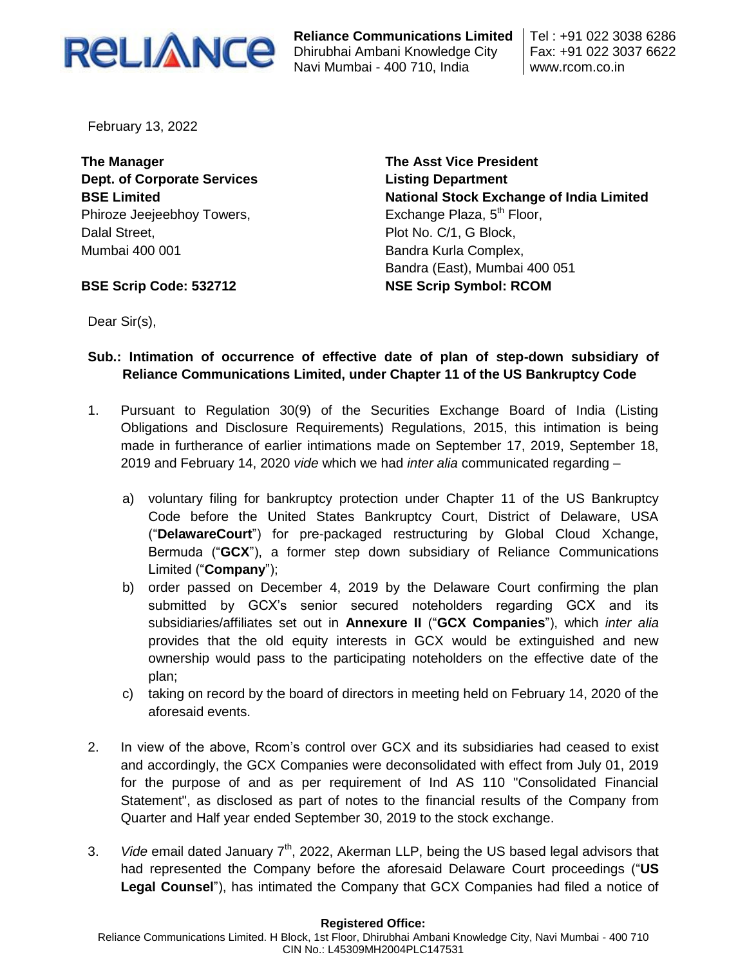

**Reliance Communications Limited** Dhirubhai Ambani Knowledge City Navi Mumbai - 400 710, India

Tel : +91 022 3038 6286 Fax: +91 022 3037 6622 www.rcom.co.in

February 13, 2022

**The Manager Dept. of Corporate Services BSE Limited** Phiroze Jeejeebhoy Towers, Dalal Street, Mumbai 400 001

**The Asst Vice President Listing Department National Stock Exchange of India Limited** Exchange Plaza, 5<sup>th</sup> Floor, Plot No. C/1, G Block, Bandra Kurla Complex, Bandra (East), Mumbai 400 051 **NSE Scrip Symbol: RCOM**

**BSE Scrip Code: 532712**

Dear Sir(s),

# **Sub.: Intimation of occurrence of effective date of plan of step-down subsidiary of Reliance Communications Limited, under Chapter 11 of the US Bankruptcy Code**

- 1. Pursuant to Regulation 30(9) of the Securities Exchange Board of India (Listing Obligations and Disclosure Requirements) Regulations, 2015, this intimation is being made in furtherance of earlier intimations made on September 17, 2019, September 18, 2019 and February 14, 2020 *vide* which we had *inter alia* communicated regarding –
	- a) voluntary filing for bankruptcy protection under Chapter 11 of the US Bankruptcy Code before the United States Bankruptcy Court, District of Delaware, USA ("**DelawareCourt**") for pre-packaged restructuring by Global Cloud Xchange, Bermuda ("**GCX**"), a former step down subsidiary of Reliance Communications Limited ("**Company**");
	- b) order passed on December 4, 2019 by the Delaware Court confirming the plan submitted by GCX's senior secured noteholders regarding GCX and its subsidiaries/affiliates set out in **Annexure II** ("**GCX Companies**"), which *inter alia* provides that the old equity interests in GCX would be extinguished and new ownership would pass to the participating noteholders on the effective date of the plan;
	- c) taking on record by the board of directors in meeting held on February 14, 2020 of the aforesaid events.
- 2. In view of the above, Rcom's control over GCX and its subsidiaries had ceased to exist and accordingly, the GCX Companies were deconsolidated with effect from July 01, 2019 for the purpose of and as per requirement of Ind AS 110 "Consolidated Financial Statement", as disclosed as part of notes to the financial results of the Company from Quarter and Half year ended September 30, 2019 to the stock exchange.
- 3. *Vide* email dated January 7<sup>th</sup>, 2022, Akerman LLP, being the US based legal advisors that had represented the Company before the aforesaid Delaware Court proceedings ("**US Legal Counsel**"), has intimated the Company that GCX Companies had filed a notice of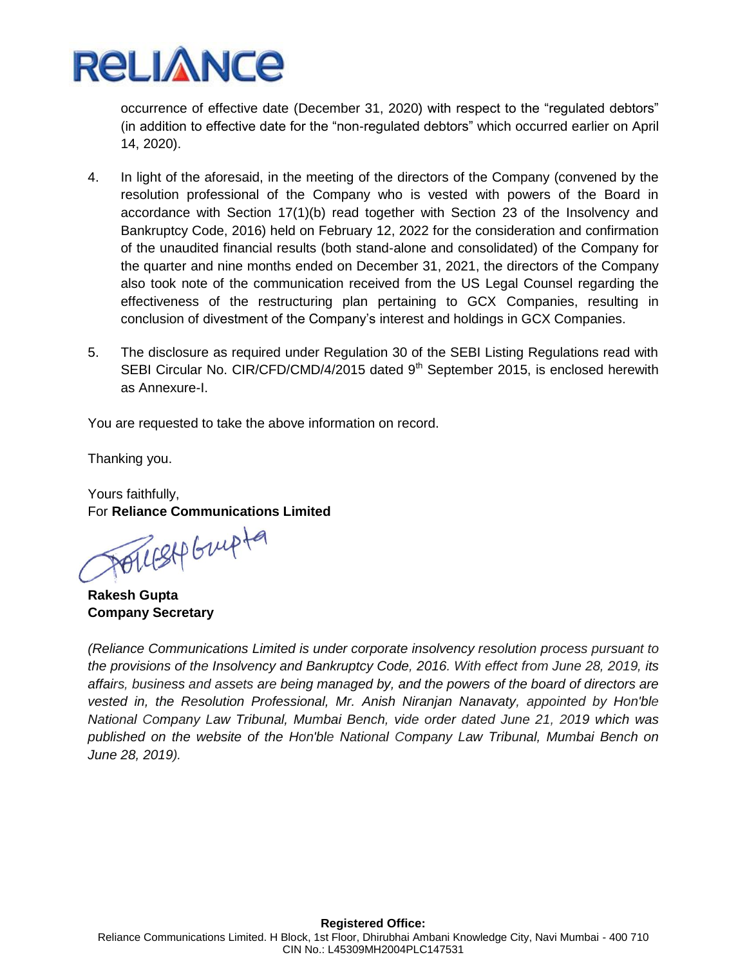

occurrence of effective date (December 31, 2020) with respect to the "regulated debtors" (in addition to effective date for the "non-regulated debtors" which occurred earlier on April 14, 2020).

- 4. In light of the aforesaid, in the meeting of the directors of the Company (convened by the resolution professional of the Company who is vested with powers of the Board in accordance with Section 17(1)(b) read together with Section 23 of the Insolvency and Bankruptcy Code, 2016) held on February 12, 2022 for the consideration and confirmation of the unaudited financial results (both stand-alone and consolidated) of the Company for the quarter and nine months ended on December 31, 2021, the directors of the Company also took note of the communication received from the US Legal Counsel regarding the effectiveness of the restructuring plan pertaining to GCX Companies, resulting in conclusion of divestment of the Company's interest and holdings in GCX Companies.
- 5. The disclosure as required under Regulation 30 of the SEBI Listing Regulations read with SEBI Circular No. CIR/CFD/CMD/4/2015 dated 9<sup>th</sup> September 2015, is enclosed herewith as Annexure-I.

You are requested to take the above information on record.

Thanking you.

Yours faithfully, For **Reliance Communications Limited**

PollisAP Grupta

**Rakesh Gupta Company Secretary** 

*(Reliance Communications Limited is under corporate insolvency resolution process pursuant to the provisions of the Insolvency and Bankruptcy Code, 2016. With effect from June 28, 2019, its affairs, business and assets are being managed by, and the powers of the board of directors are vested in, the Resolution Professional, Mr. Anish Niranjan Nanavaty, appointed by Hon'ble National Company Law Tribunal, Mumbai Bench, vide order dated June 21, 2019 which was published on the website of the Hon'ble National Company Law Tribunal, Mumbai Bench on June 28, 2019).*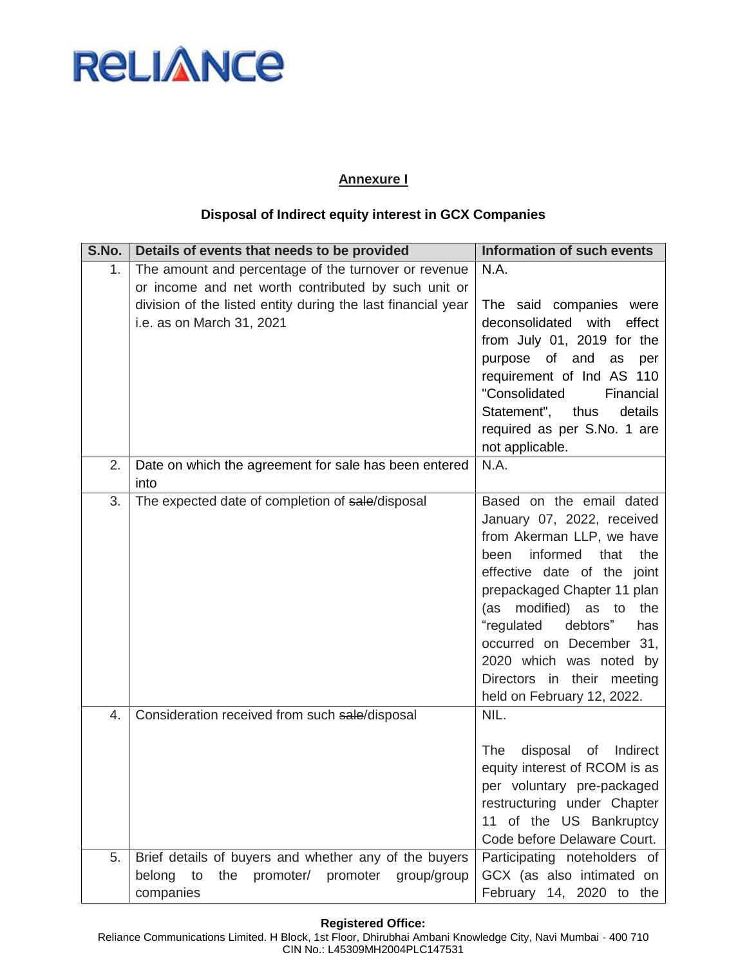

# **Annexure I**

# **Disposal of Indirect equity interest in GCX Companies**

| S.No. | Details of events that needs to be provided                                                                                                                                                              | <b>Information of such events</b>                                                                                                                                                                                                                                                                                                                                         |
|-------|----------------------------------------------------------------------------------------------------------------------------------------------------------------------------------------------------------|---------------------------------------------------------------------------------------------------------------------------------------------------------------------------------------------------------------------------------------------------------------------------------------------------------------------------------------------------------------------------|
| 1.    | The amount and percentage of the turnover or revenue<br>or income and net worth contributed by such unit or<br>division of the listed entity during the last financial year<br>i.e. as on March 31, 2021 | N.A.<br>The said companies were<br>deconsolidated with<br>effect<br>from July 01, 2019 for the<br>purpose of and<br>as<br>per<br>requirement of Ind AS 110<br>"Consolidated<br>Financial<br>Statement", thus<br>details<br>required as per S.No. 1 are<br>not applicable.                                                                                                 |
| 2.    | Date on which the agreement for sale has been entered<br>into                                                                                                                                            | N.A.                                                                                                                                                                                                                                                                                                                                                                      |
| 3.    | The expected date of completion of sale/disposal                                                                                                                                                         | Based on the email dated<br>January 07, 2022, received<br>from Akerman LLP, we have<br>informed<br>that<br>the<br>been<br>effective date of the joint<br>prepackaged Chapter 11 plan<br>modified)<br>as to<br>the<br>(as<br>"regulated debtors"<br>has<br>occurred on December 31,<br>2020 which was noted by<br>Directors in their meeting<br>held on February 12, 2022. |
| 4.    | Consideration received from such sale/disposal                                                                                                                                                           | NIL.<br>The<br>disposal<br>Indirect<br>of<br>equity interest of RCOM is as<br>per voluntary pre-packaged<br>restructuring under Chapter<br>11 of the US Bankruptcy<br>Code before Delaware Court.                                                                                                                                                                         |
| 5.    | Brief details of buyers and whether any of the buyers<br>belong to<br>the promoter/ promoter<br>group/group<br>companies                                                                                 | Participating noteholders of<br>GCX (as also intimated on<br>February 14, 2020 to the                                                                                                                                                                                                                                                                                     |

#### **Registered Office:**

Reliance Communications Limited. H Block, 1st Floor, Dhirubhai Ambani Knowledge City, Navi Mumbai - 400 710 CIN No.: L45309MH2004PLC147531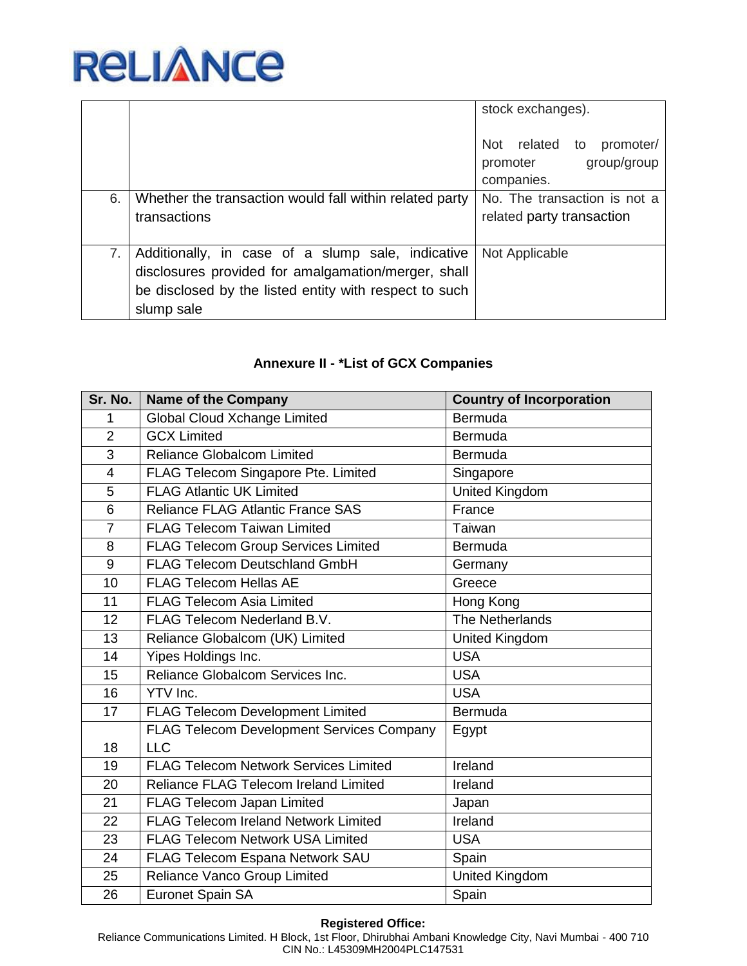

|    |                                                                                                                                                                                  | stock exchanges).                                                    |
|----|----------------------------------------------------------------------------------------------------------------------------------------------------------------------------------|----------------------------------------------------------------------|
|    |                                                                                                                                                                                  | Not related to<br>promoter/<br>group/group<br>promoter<br>companies. |
| 6. | Whether the transaction would fall within related party<br>transactions                                                                                                          | No. The transaction is not a<br>related party transaction            |
| 7. | Additionally, in case of a slump sale, indicative<br>disclosures provided for amalgamation/merger, shall<br>be disclosed by the listed entity with respect to such<br>slump sale | Not Applicable                                                       |

# **Annexure II - \*List of GCX Companies**

| Sr. No.                  | <b>Name of the Company</b>                       | <b>Country of Incorporation</b> |
|--------------------------|--------------------------------------------------|---------------------------------|
| 1                        | Global Cloud Xchange Limited                     | Bermuda                         |
| $\overline{2}$           | <b>GCX Limited</b>                               | <b>Bermuda</b>                  |
| 3                        | <b>Reliance Globalcom Limited</b>                | Bermuda                         |
| $\overline{\mathcal{A}}$ | FLAG Telecom Singapore Pte. Limited              | Singapore                       |
| 5                        | <b>FLAG Atlantic UK Limited</b>                  | <b>United Kingdom</b>           |
| 6                        | <b>Reliance FLAG Atlantic France SAS</b>         | France                          |
| $\overline{7}$           | <b>FLAG Telecom Taiwan Limited</b>               | Taiwan                          |
| 8                        | <b>FLAG Telecom Group Services Limited</b>       | Bermuda                         |
| 9                        | <b>FLAG Telecom Deutschland GmbH</b>             | Germany                         |
| 10                       | <b>FLAG Telecom Hellas AE</b>                    | Greece                          |
| 11                       | <b>FLAG Telecom Asia Limited</b>                 | Hong Kong                       |
| 12                       | FLAG Telecom Nederland B.V.                      | The Netherlands                 |
| 13                       | Reliance Globalcom (UK) Limited                  | <b>United Kingdom</b>           |
| 14                       | Yipes Holdings Inc.                              | <b>USA</b>                      |
| 15                       | Reliance Globalcom Services Inc.                 | <b>USA</b>                      |
| 16                       | YTV Inc.                                         | <b>USA</b>                      |
| 17                       | <b>FLAG Telecom Development Limited</b>          | Bermuda                         |
|                          | <b>FLAG Telecom Development Services Company</b> | Egypt                           |
| 18                       | <b>LLC</b>                                       |                                 |
| 19                       | <b>FLAG Telecom Network Services Limited</b>     | Ireland                         |
| 20                       | Reliance FLAG Telecom Ireland Limited            | Ireland                         |
| 21                       | <b>FLAG Telecom Japan Limited</b>                | Japan                           |
| 22                       | <b>FLAG Telecom Ireland Network Limited</b>      | Ireland                         |
| 23                       | <b>FLAG Telecom Network USA Limited</b>          | <b>USA</b>                      |
| 24                       | FLAG Telecom Espana Network SAU                  | Spain                           |
| 25                       | Reliance Vanco Group Limited                     | <b>United Kingdom</b>           |
| 26                       | <b>Euronet Spain SA</b>                          | Spain                           |

#### **Registered Office:**

Reliance Communications Limited. H Block, 1st Floor, Dhirubhai Ambani Knowledge City, Navi Mumbai - 400 710 CIN No.: L45309MH2004PLC147531